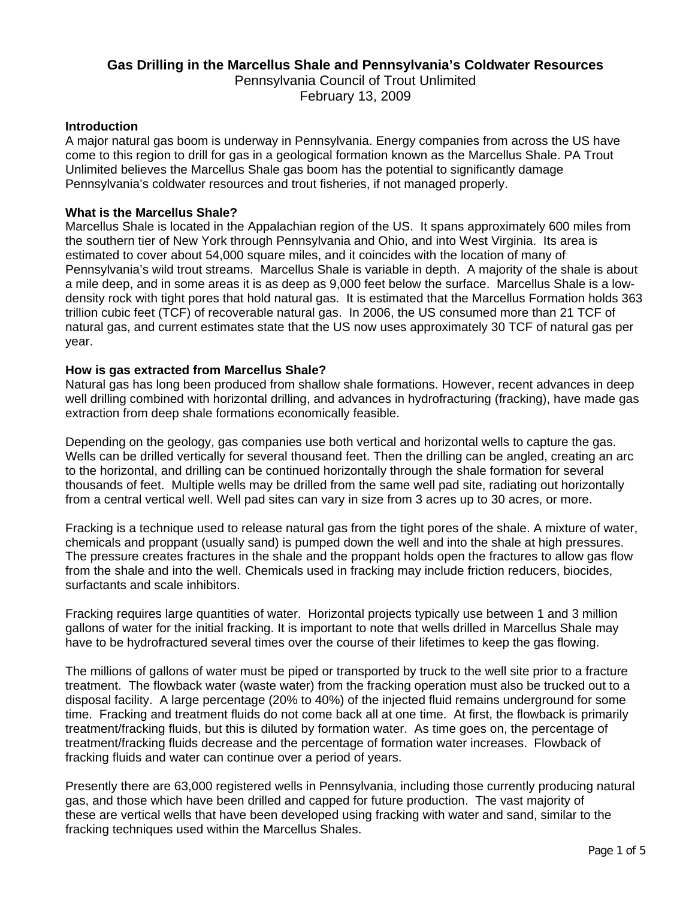# **Gas Drilling in the Marcellus Shale and Pennsylvania's Coldwater Resources**  Pennsylvania Council of Trout Unlimited February 13, 2009

### **Introduction**

A major natural gas boom is underway in Pennsylvania. Energy companies from across the US have come to this region to drill for gas in a geological formation known as the Marcellus Shale. PA Trout Unlimited believes the Marcellus Shale gas boom has the potential to significantly damage Pennsylvania's coldwater resources and trout fisheries, if not managed properly.

#### **What is the Marcellus Shale?**

Marcellus Shale is located in the Appalachian region of the US. It spans approximately 600 miles from the southern tier of New York through Pennsylvania and Ohio, and into West Virginia. Its area is estimated to cover about 54,000 square miles, and it coincides with the location of many of Pennsylvania's wild trout streams. Marcellus Shale is variable in depth. A majority of the shale is about a mile deep, and in some areas it is as deep as 9,000 feet below the surface. Marcellus Shale is a lowdensity rock with tight pores that hold natural gas. It is estimated that the Marcellus Formation holds 363 trillion cubic feet (TCF) of recoverable natural gas. In 2006, the US consumed more than 21 TCF of natural gas, and current estimates state that the US now uses approximately 30 TCF of natural gas per year.

### **How is gas extracted from Marcellus Shale?**

Natural gas has long been produced from shallow shale formations. However, recent advances in deep well drilling combined with horizontal drilling, and advances in hydrofracturing (fracking), have made gas extraction from deep shale formations economically feasible.

Depending on the geology, gas companies use both vertical and horizontal wells to capture the gas. Wells can be drilled vertically for several thousand feet. Then the drilling can be angled, creating an arc to the horizontal, and drilling can be continued horizontally through the shale formation for several thousands of feet. Multiple wells may be drilled from the same well pad site, radiating out horizontally from a central vertical well. Well pad sites can vary in size from 3 acres up to 30 acres, or more.

Fracking is a technique used to release natural gas from the tight pores of the shale. A mixture of water, chemicals and proppant (usually sand) is pumped down the well and into the shale at high pressures. The pressure creates fractures in the shale and the proppant holds open the fractures to allow gas flow from the shale and into the well. Chemicals used in fracking may include friction reducers, biocides, surfactants and scale inhibitors.

Fracking requires large quantities of water. Horizontal projects typically use between 1 and 3 million gallons of water for the initial fracking. It is important to note that wells drilled in Marcellus Shale may have to be hydrofractured several times over the course of their lifetimes to keep the gas flowing.

The millions of gallons of water must be piped or transported by truck to the well site prior to a fracture treatment. The flowback water (waste water) from the fracking operation must also be trucked out to a disposal facility. A large percentage (20% to 40%) of the injected fluid remains underground for some time. Fracking and treatment fluids do not come back all at one time. At first, the flowback is primarily treatment/fracking fluids, but this is diluted by formation water. As time goes on, the percentage of treatment/fracking fluids decrease and the percentage of formation water increases. Flowback of fracking fluids and water can continue over a period of years.

Presently there are 63,000 registered wells in Pennsylvania, including those currently producing natural gas, and those which have been drilled and capped for future production. The vast majority of these are vertical wells that have been developed using fracking with water and sand, similar to the fracking techniques used within the Marcellus Shales.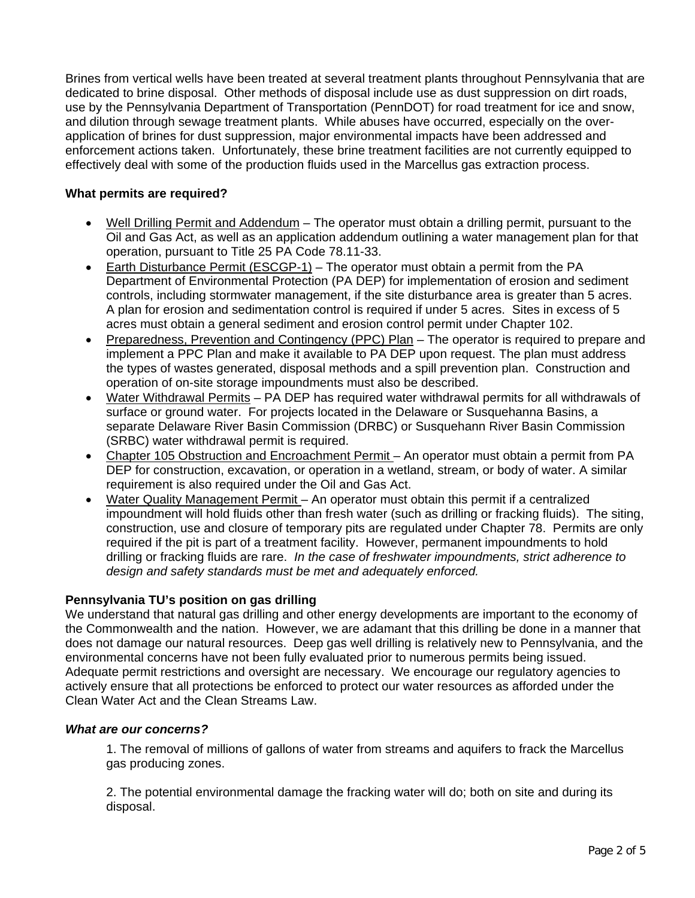Brines from vertical wells have been treated at several treatment plants throughout Pennsylvania that are dedicated to brine disposal. Other methods of disposal include use as dust suppression on dirt roads, use by the Pennsylvania Department of Transportation (PennDOT) for road treatment for ice and snow, and dilution through sewage treatment plants. While abuses have occurred, especially on the overapplication of brines for dust suppression, major environmental impacts have been addressed and enforcement actions taken. Unfortunately, these brine treatment facilities are not currently equipped to effectively deal with some of the production fluids used in the Marcellus gas extraction process.

# **What permits are required?**

- Well Drilling Permit and Addendum The operator must obtain a drilling permit, pursuant to the Oil and Gas Act, as well as an application addendum outlining a water management plan for that operation, pursuant to Title 25 PA Code 78.11-33.
- Earth Disturbance Permit (ESCGP-1) The operator must obtain a permit from the PA Department of Environmental Protection (PA DEP) for implementation of erosion and sediment controls, including stormwater management, if the site disturbance area is greater than 5 acres. A plan for erosion and sedimentation control is required if under 5 acres. Sites in excess of 5 acres must obtain a general sediment and erosion control permit under Chapter 102.
- Preparedness, Prevention and Contingency (PPC) Plan The operator is required to prepare and implement a PPC Plan and make it available to PA DEP upon request. The plan must address the types of wastes generated, disposal methods and a spill prevention plan. Construction and operation of on-site storage impoundments must also be described.
- Water Withdrawal Permits PA DEP has required water withdrawal permits for all withdrawals of surface or ground water. For projects located in the Delaware or Susquehanna Basins, a separate Delaware River Basin Commission (DRBC) or Susquehann River Basin Commission (SRBC) water withdrawal permit is required.
- Chapter 105 Obstruction and Encroachment Permit An operator must obtain a permit from PA DEP for construction, excavation, or operation in a wetland, stream, or body of water. A similar requirement is also required under the Oil and Gas Act.
- Water Quality Management Permit An operator must obtain this permit if a centralized impoundment will hold fluids other than fresh water (such as drilling or fracking fluids). The siting, construction, use and closure of temporary pits are regulated under Chapter 78. Permits are only required if the pit is part of a treatment facility. However, permanent impoundments to hold drilling or fracking fluids are rare. *In the case of freshwater impoundments, strict adherence to design and safety standards must be met and adequately enforced.*

# **Pennsylvania TU's position on gas drilling**

We understand that natural gas drilling and other energy developments are important to the economy of the Commonwealth and the nation. However, we are adamant that this drilling be done in a manner that does not damage our natural resources. Deep gas well drilling is relatively new to Pennsylvania, and the environmental concerns have not been fully evaluated prior to numerous permits being issued. Adequate permit restrictions and oversight are necessary. We encourage our regulatory agencies to actively ensure that all protections be enforced to protect our water resources as afforded under the Clean Water Act and the Clean Streams Law.

# *What are our concerns?*

1. The removal of millions of gallons of water from streams and aquifers to frack the Marcellus gas producing zones.

2. The potential environmental damage the fracking water will do; both on site and during its disposal.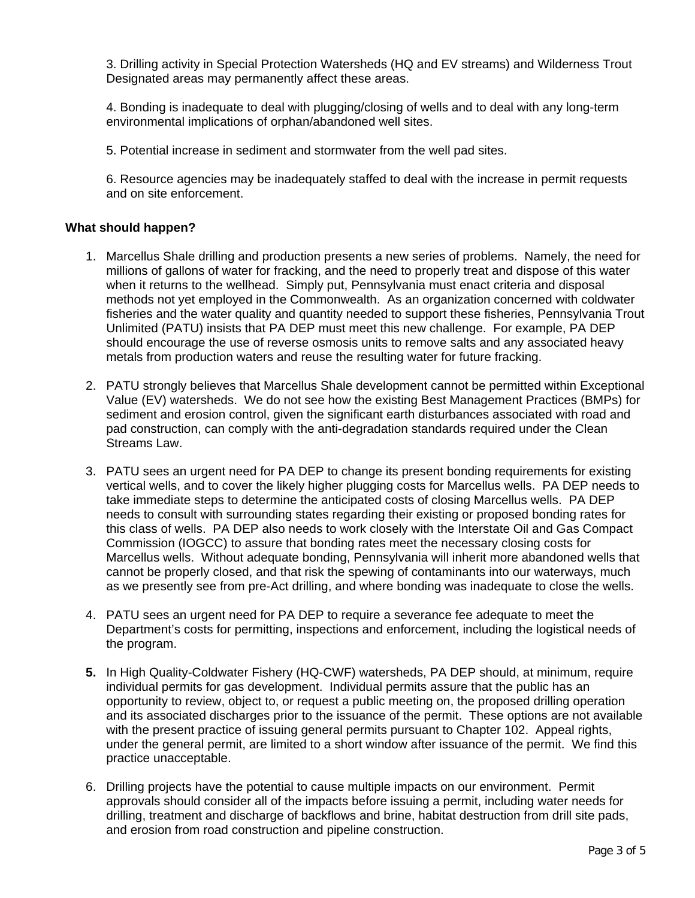3. Drilling activity in Special Protection Watersheds (HQ and EV streams) and Wilderness Trout Designated areas may permanently affect these areas.

4. Bonding is inadequate to deal with plugging/closing of wells and to deal with any long-term environmental implications of orphan/abandoned well sites.

5. Potential increase in sediment and stormwater from the well pad sites.

6. Resource agencies may be inadequately staffed to deal with the increase in permit requests and on site enforcement.

## **What should happen?**

- 1. Marcellus Shale drilling and production presents a new series of problems. Namely, the need for millions of gallons of water for fracking, and the need to properly treat and dispose of this water when it returns to the wellhead. Simply put, Pennsylvania must enact criteria and disposal methods not yet employed in the Commonwealth. As an organization concerned with coldwater fisheries and the water quality and quantity needed to support these fisheries, Pennsylvania Trout Unlimited (PATU) insists that PA DEP must meet this new challenge. For example, PA DEP should encourage the use of reverse osmosis units to remove salts and any associated heavy metals from production waters and reuse the resulting water for future fracking.
- 2. PATU strongly believes that Marcellus Shale development cannot be permitted within Exceptional Value (EV) watersheds. We do not see how the existing Best Management Practices (BMPs) for sediment and erosion control, given the significant earth disturbances associated with road and pad construction, can comply with the anti-degradation standards required under the Clean Streams Law.
- 3. PATU sees an urgent need for PA DEP to change its present bonding requirements for existing vertical wells, and to cover the likely higher plugging costs for Marcellus wells. PA DEP needs to take immediate steps to determine the anticipated costs of closing Marcellus wells. PA DEP needs to consult with surrounding states regarding their existing or proposed bonding rates for this class of wells. PA DEP also needs to work closely with the Interstate Oil and Gas Compact Commission (IOGCC) to assure that bonding rates meet the necessary closing costs for Marcellus wells. Without adequate bonding, Pennsylvania will inherit more abandoned wells that cannot be properly closed, and that risk the spewing of contaminants into our waterways, much as we presently see from pre-Act drilling, and where bonding was inadequate to close the wells.
- 4. PATU sees an urgent need for PA DEP to require a severance fee adequate to meet the Department's costs for permitting, inspections and enforcement, including the logistical needs of the program.
- **5.** In High Quality-Coldwater Fishery (HQ-CWF) watersheds, PA DEP should, at minimum, require individual permits for gas development. Individual permits assure that the public has an opportunity to review, object to, or request a public meeting on, the proposed drilling operation and its associated discharges prior to the issuance of the permit. These options are not available with the present practice of issuing general permits pursuant to Chapter 102. Appeal rights, under the general permit, are limited to a short window after issuance of the permit. We find this practice unacceptable.
- 6. Drilling projects have the potential to cause multiple impacts on our environment. Permit approvals should consider all of the impacts before issuing a permit, including water needs for drilling, treatment and discharge of backflows and brine, habitat destruction from drill site pads, and erosion from road construction and pipeline construction.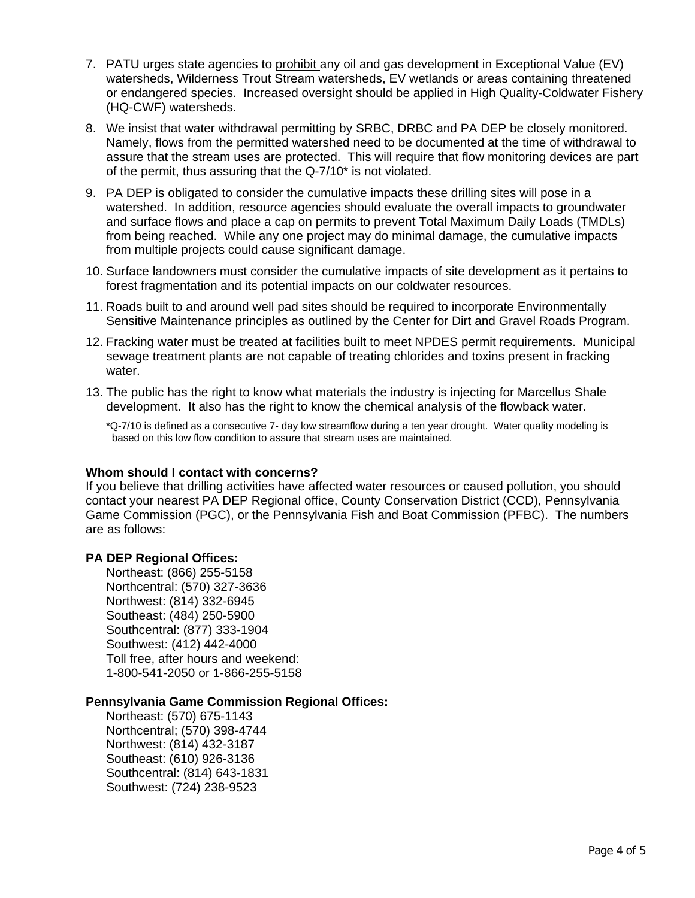- 7. PATU urges state agencies to prohibit any oil and gas development in Exceptional Value (EV) watersheds, Wilderness Trout Stream watersheds, EV wetlands or areas containing threatened or endangered species. Increased oversight should be applied in High Quality-Coldwater Fishery (HQ-CWF) watersheds.
- 8. We insist that water withdrawal permitting by SRBC, DRBC and PA DEP be closely monitored. Namely, flows from the permitted watershed need to be documented at the time of withdrawal to assure that the stream uses are protected. This will require that flow monitoring devices are part of the permit, thus assuring that the Q-7/10\* is not violated.
- 9. PA DEP is obligated to consider the cumulative impacts these drilling sites will pose in a watershed. In addition, resource agencies should evaluate the overall impacts to groundwater and surface flows and place a cap on permits to prevent Total Maximum Daily Loads (TMDLs) from being reached. While any one project may do minimal damage, the cumulative impacts from multiple projects could cause significant damage.
- 10. Surface landowners must consider the cumulative impacts of site development as it pertains to forest fragmentation and its potential impacts on our coldwater resources.
- 11. Roads built to and around well pad sites should be required to incorporate Environmentally Sensitive Maintenance principles as outlined by the Center for Dirt and Gravel Roads Program.
- 12. Fracking water must be treated at facilities built to meet NPDES permit requirements. Municipal sewage treatment plants are not capable of treating chlorides and toxins present in fracking water.
- 13. The public has the right to know what materials the industry is injecting for Marcellus Shale development. It also has the right to know the chemical analysis of the flowback water.

\*Q-7/10 is defined as a consecutive 7- day low streamflow during a ten year drought. Water quality modeling is based on this low flow condition to assure that stream uses are maintained.

#### **Whom should I contact with concerns?**

If you believe that drilling activities have affected water resources or caused pollution, you should contact your nearest PA DEP Regional office, County Conservation District (CCD), Pennsylvania Game Commission (PGC), or the Pennsylvania Fish and Boat Commission (PFBC). The numbers are as follows:

#### **PA DEP Regional Offices:**

Northeast: (866) 255-5158 Northcentral: (570) 327-3636 Northwest: (814) 332-6945 Southeast: (484) 250-5900 Southcentral: (877) 333-1904 Southwest: (412) 442-4000 Toll free, after hours and weekend: 1-800-541-2050 or 1-866-255-5158

#### **Pennsylvania Game Commission Regional Offices:**

 Northeast: (570) 675-1143 Northcentral; (570) 398-4744 Northwest: (814) 432-3187 Southeast: (610) 926-3136 Southcentral: (814) 643-1831 Southwest: (724) 238-9523